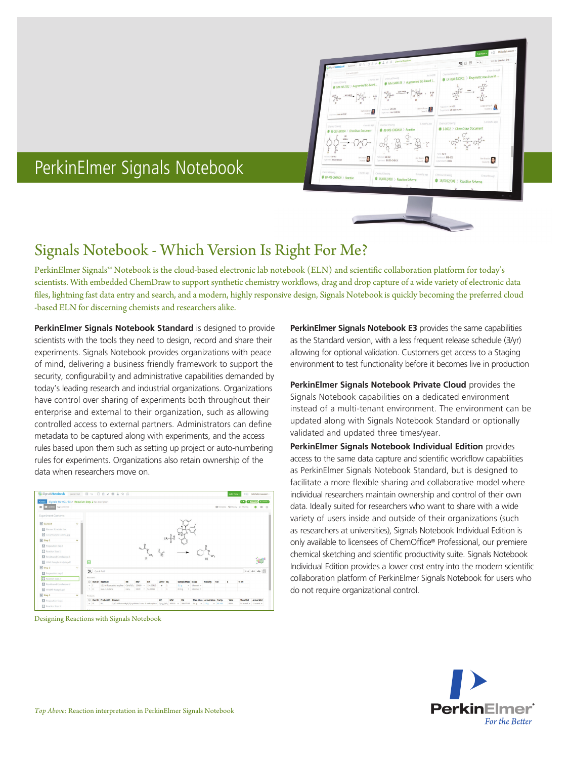

# PerkinElmer Signals Notebook

# Signals Notebook - Which Version Is Right For Me?

PerkinElmer Signals™ Notebook is the cloud-based electronic lab notebook (ELN) and scientific collaboration platform for today's scientists. With embedded ChemDraw to support synthetic chemistry workflows, drag and drop capture of a wide variety of electronic data files, lightning fast data entry and search, and a modern, highly responsive design, Signals Notebook is quickly becoming the preferred cloud -based ELN for discerning chemists and researchers alike.

**PerkinElmer Signals Notebook Standard** is designed to provide scientists with the tools they need to design, record and share their experiments. Signals Notebook provides organizations with peace of mind, delivering a business friendly framework to support the security, configurability and administrative capabilities demanded by today's leading research and industrial organizations. Organizations have control over sharing of experiments both throughout their enterprise and external to their organization, such as allowing controlled access to external partners. Administrators can define metadata to be captured along with experiments, and the access rules based upon them such as setting up project or auto-numbering rules for experiments. Organizations also retain ownership of the data when researchers move on.



Designing Reactions with Signals Notebook

**PerkinElmer Signals Notebook E3** provides the same capabilities as the Standard version, with a less frequent release schedule (3/yr) allowing for optional validation. Customers get access to a Staging environment to test functionality before it becomes live in production

**PerkinElmer Signals Notebook Private Cloud** provides the Signals Notebook capabilities on a dedicated environment instead of a multi-tenant environment. The environment can be updated along with Signals Notebook Standard or optionally validated and updated three times/year.

**PerkinElmer Signals Notebook Individual Edition** provides access to the same data capture and scientific workflow capabilities as PerkinElmer Signals Notebook Standard, but is designed to facilitate a more flexible sharing and collaborative model where individual researchers maintain ownership and control of their own data. Ideally suited for researchers who want to share with a wide variety of users inside and outside of their organizations (such as researchers at universities), Signals Notebook Individual Edition is only available to licensees of ChemOffice® Professional, our premiere chemical sketching and scientific productivity suite. Signals Notebook Individual Edition provides a lower cost entry into the modern scientific collaboration platform of PerkinElmer Signals Notebook for users who do not require organizational control.

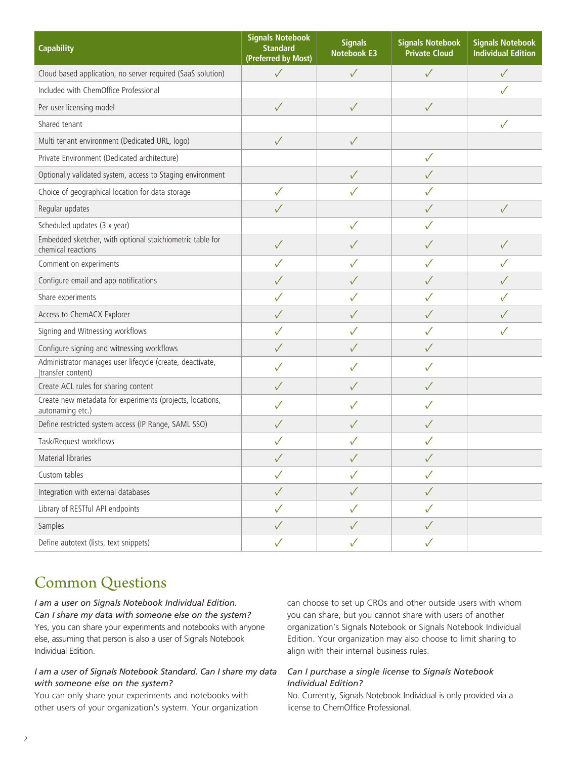| <b>Capability</b>                                                               | <b>Signals Notebook</b><br><b>Standard</b><br>(Preferred by Most) | <b>Signals</b><br><b>Notebook E3</b> | <b>Signals Notebook</b><br><b>Private Cloud</b> | <b>Signals Notebook</b><br><b>Individual Edition</b> |
|---------------------------------------------------------------------------------|-------------------------------------------------------------------|--------------------------------------|-------------------------------------------------|------------------------------------------------------|
| Cloud based application, no server required (SaaS solution)                     | ✓                                                                 | $\sqrt{}$                            | $\checkmark$                                    | $\checkmark$                                         |
| Included with ChemOffice Professional                                           |                                                                   |                                      |                                                 | ✓                                                    |
| Per user licensing model                                                        | $\checkmark$                                                      | $\sqrt{}$                            | $\checkmark$                                    |                                                      |
| Shared tenant                                                                   |                                                                   |                                      |                                                 | ✓                                                    |
| Multi tenant environment (Dedicated URL, logo)                                  | $\sqrt{}$                                                         | $\checkmark$                         |                                                 |                                                      |
| Private Environment (Dedicated architecture)                                    |                                                                   |                                      | $\checkmark$                                    |                                                      |
| Optionally validated system, access to Staging environment                      |                                                                   | $\checkmark$                         | $\checkmark$                                    |                                                      |
| Choice of geographical location for data storage                                | $\checkmark$                                                      | $\checkmark$                         | ✓                                               |                                                      |
| Regular updates                                                                 | ✓                                                                 |                                      | $\checkmark$                                    | $\checkmark$                                         |
| Scheduled updates (3 x year)                                                    |                                                                   | $\checkmark$                         | ✓                                               |                                                      |
| Embedded sketcher, with optional stoichiometric table for<br>chemical reactions | $\checkmark$                                                      | $\checkmark$                         | ✓                                               | ✓                                                    |
| Comment on experiments                                                          | ✓                                                                 | $\checkmark$                         | ✓                                               | ✓                                                    |
| Configure email and app notifications                                           | ✓                                                                 | $\checkmark$                         | ✓                                               |                                                      |
| Share experiments                                                               | ✓                                                                 | $\sqrt{}$                            | ✓                                               |                                                      |
| Access to ChemACX Explorer                                                      | ✓                                                                 | $\sqrt{}$                            | ✓                                               |                                                      |
| Signing and Witnessing workflows                                                | ✓                                                                 | $\checkmark$                         | ✓                                               | ✓                                                    |
| Configure signing and witnessing workflows                                      | $\checkmark$                                                      | $\sqrt{}$                            | ✓                                               |                                                      |
| Administrator manages user lifecycle (create, deactivate,<br>(transfer content) | ✓                                                                 | $\checkmark$                         | ✓                                               |                                                      |
| Create ACL rules for sharing content                                            | $\sqrt{}$                                                         | $\sqrt{}$                            | $\checkmark$                                    |                                                      |
| Create new metadata for experiments (projects, locations,<br>autonaming etc.)   | $\checkmark$                                                      | $\checkmark$                         | ✓                                               |                                                      |
| Define restricted system access (IP Range, SAML SSO)                            | ✓                                                                 | $\sqrt{}$                            | ✓                                               |                                                      |
| Task/Request workflows                                                          |                                                                   |                                      | $\checkmark$                                    |                                                      |
| Material libraries                                                              |                                                                   |                                      |                                                 |                                                      |
| Custom tables                                                                   | $\checkmark$                                                      | $\sqrt{}$                            | $\checkmark$                                    |                                                      |
| Integration with external databases                                             | $\sqrt{}$                                                         | $\checkmark$                         | $\checkmark$                                    |                                                      |
| Library of RESTful API endpoints                                                | ✓                                                                 | $\checkmark$                         | $\checkmark$                                    |                                                      |
| Samples                                                                         | $\checkmark$                                                      | $\checkmark$                         | $\checkmark$                                    |                                                      |
| Define autotext (lists, text snippets)                                          | $\checkmark$                                                      | $\checkmark$                         | $\checkmark$                                    |                                                      |

# Common Questions

*I am a user on Signals Notebook Individual Edition. Can I share my data with someone else on the system?*  Yes, you can share your experiments and notebooks with anyone else, assuming that person is also a user of Signals Notebook Individual Edition.

### *I am a user of Signals Notebook Standard. Can I share my data with someone else on the system?*

You can only share your experiments and notebooks with other users of your organization's system. Your organization can choose to set up CROs and other outside users with whom you can share, but you cannot share with users of another organization's Signals Notebook or Signals Notebook Individual Edition. Your organization may also choose to limit sharing to align with their internal business rules.

# *Can I purchase a single license to Signals Notebook Individual Edition?*

No. Currently, Signals Notebook Individual is only provided via a license to ChemOffice Professional.